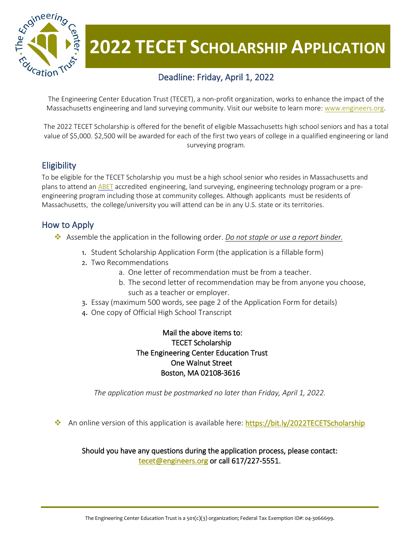

# **2022 TECET SCHOLARSHIP APPLICATION**

## Deadline: Friday, April 1, 2022

The Engineering Center Education Trust (TECET), a non-profit organization, works to enhance the impact of the Massachusetts engineering and land surveying community. Visit our website to learn more: [www.engineers.org.](http://www.engineers.org/)

The 2022 TECET Scholarship is offered for the benefit of eligible Massachusetts high school seniors and has a total value of \$5,000. \$2,500 will be awarded for each of the first two years of college in a qualified engineering or land surveying program.

#### **Eligibility**

To be eligible for the TECET Scholarship you must be a high school senior who resides in Massachusetts and plans to attend an [ABET](https://www.abet.org/) accredited engineering, land surveying, engineering technology program or a preengineering program including those at community colleges. Although applicants must be residents of Massachusetts, the college/university you will attend can be in any U.S. state or its territories.

#### How to Apply

- Assemble the application in the following order. *Do not staple or use a report binder.*
	- 1. Student Scholarship Application Form (the application is a fillable form)
	- 2. Two Recommendations
		- a. One letter of recommendation must be from a teacher.
		- b. The second letter of recommendation may be from anyone you choose, such as a teacher or employer.
	- 3. Essay (maximum 500 words, see page 2 of the Application Form for details)
	- 4. One copy of Official High School Transcript

 Mail the above items to: TECET Scholarship The Engineering Center Education Trust One Walnut Street Boston, MA 02108-3616

*The application must be postmarked no later than Friday, April 1, 2022.*

An online version of this application is available here:<https://bit.ly/2022TECETScholarship>

Should you have any questions during the application process, please contact: [tecet@engineers.org o](mailto:tecet@engineers.org)r call 617/227-5551.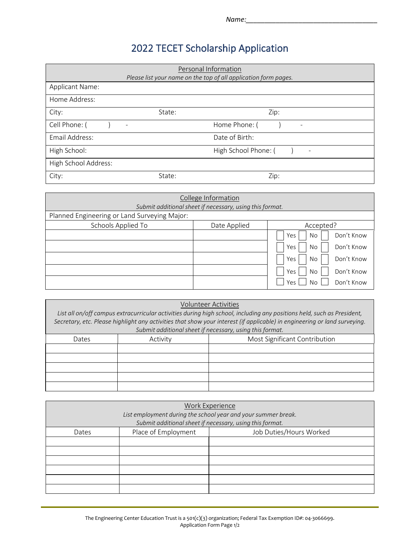# 2022 TECET Scholarship Application

| Personal Information<br>Please list your name on the top of all application form pages. |        |                           |  |
|-----------------------------------------------------------------------------------------|--------|---------------------------|--|
| <b>Applicant Name:</b>                                                                  |        |                           |  |
| Home Address:                                                                           |        |                           |  |
| City:                                                                                   | State: | Zip:                      |  |
| Cell Phone: (                                                                           | -      | Home Phone: (<br>٠        |  |
| Email Address:                                                                          |        | Date of Birth:            |  |
| High School:                                                                            |        | High School Phone: (<br>- |  |
| High School Address:                                                                    |        |                           |  |
| City:                                                                                   | State: | Zip:                      |  |

| College Information                                      |              |                          |  |
|----------------------------------------------------------|--------------|--------------------------|--|
| Submit additional sheet if necessary, using this format. |              |                          |  |
| Planned Engineering or Land Surveying Major:             |              |                          |  |
| Schools Applied To                                       | Date Applied | Accepted?                |  |
|                                                          |              | Don't Know<br>Yes<br>No  |  |
|                                                          |              | Don't Know<br>Yes<br>No  |  |
|                                                          |              | Don't Know<br>Yes<br>No  |  |
|                                                          |              | Don't Know<br>Yes<br>No. |  |
|                                                          |              | Don't Know<br>Yes<br>No  |  |

|                                                                                                                                                                                                                                                     |          | <b>Volunteer Activities</b>   |
|-----------------------------------------------------------------------------------------------------------------------------------------------------------------------------------------------------------------------------------------------------|----------|-------------------------------|
| List all on/off campus extracurricular activities during high school, including any positions held, such as President,<br>Secretary, etc. Please highlight any activities that show your interest (if applicable) in engineering or land surveying. |          |                               |
| Submit additional sheet if necessary, using this format.                                                                                                                                                                                            |          |                               |
| Dates                                                                                                                                                                                                                                               | Activity | Most Significant Contribution |
|                                                                                                                                                                                                                                                     |          |                               |
|                                                                                                                                                                                                                                                     |          |                               |
|                                                                                                                                                                                                                                                     |          |                               |
|                                                                                                                                                                                                                                                     |          |                               |
|                                                                                                                                                                                                                                                     |          |                               |

| Work Experience<br>List employment during the school year and your summer break.<br>Submit additional sheet if necessary, using this format. |                     |                         |  |
|----------------------------------------------------------------------------------------------------------------------------------------------|---------------------|-------------------------|--|
| Dates                                                                                                                                        | Place of Employment | Job Duties/Hours Worked |  |
|                                                                                                                                              |                     |                         |  |
|                                                                                                                                              |                     |                         |  |
|                                                                                                                                              |                     |                         |  |
|                                                                                                                                              |                     |                         |  |
|                                                                                                                                              |                     |                         |  |
|                                                                                                                                              |                     |                         |  |

The Engineering Center Education Trust is a 501(c)(3) organization; Federal Tax Exemption ID#: 04-3066699. Application Form Page 1/2